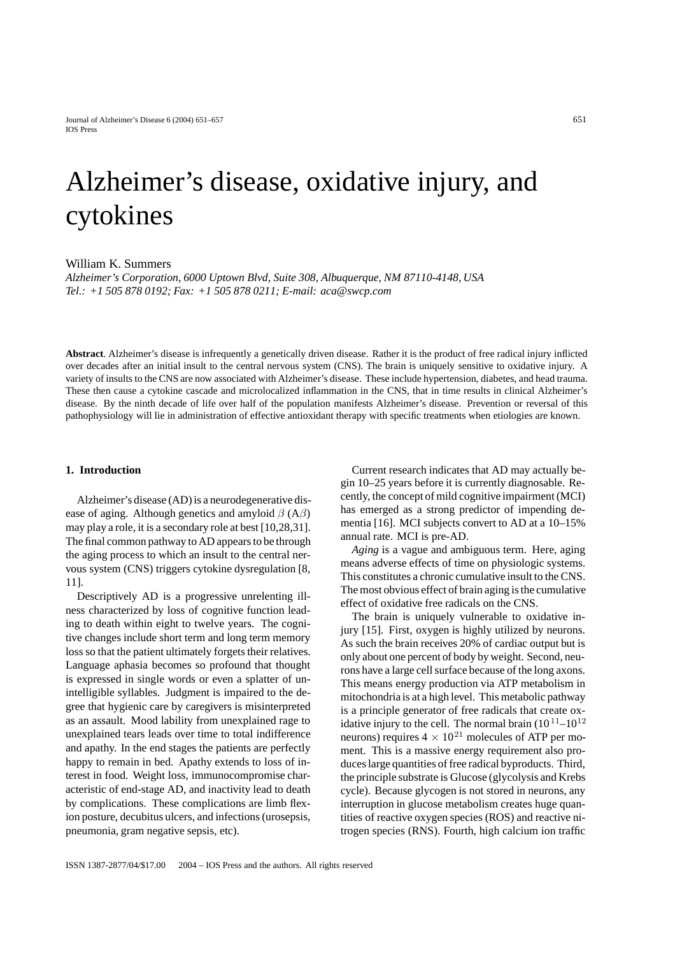# Alzheimer's disease, oxidative injury, and cytokines

William K. Summers

*Alzheimer's Corporation, 6000 Uptown Blvd, Suite 308, Albuquerque, NM 87110-4148, USA Tel.: +1 505 878 0192; Fax: +1 505 878 0211; E-mail: aca@swcp.com*

**Abstract**. Alzheimer's disease is infrequently a genetically driven disease. Rather it is the product of free radical injury inflicted over decades after an initial insult to the central nervous system (CNS). The brain is uniquely sensitive to oxidative injury. A variety of insults to the CNS are now associated with Alzheimer's disease. These include hypertension, diabetes, and head trauma. These then cause a cytokine cascade and microlocalized inflammation in the CNS, that in time results in clinical Alzheimer's disease. By the ninth decade of life over half of the population manifests Alzheimer's disease. Prevention or reversal of this pathophysiology will lie in administration of effective antioxidant therapy with specific treatments when etiologies are known.

## **1. Introduction**

Alzheimer's disease (AD) is a neurodegenerative disease of aging. Although genetics and amyloid  $\beta$  (A $\beta$ ) may play a role, it is a secondary role at best [10,28,31]. The final common pathway to AD appears to be through the aging process to which an insult to the central nervous system (CNS) triggers cytokine dysregulation [8, 11].

Descriptively AD is a progressive unrelenting illness characterized by loss of cognitive function leading to death within eight to twelve years. The cognitive changes include short term and long term memory loss so that the patient ultimately forgets their relatives. Language aphasia becomes so profound that thought is expressed in single words or even a splatter of unintelligible syllables. Judgment is impaired to the degree that hygienic care by caregivers is misinterpreted as an assault. Mood lability from unexplained rage to unexplained tears leads over time to total indifference and apathy. In the end stages the patients are perfectly happy to remain in bed. Apathy extends to loss of interest in food. Weight loss, immunocompromise characteristic of end-stage AD, and inactivity lead to death by complications. These complications are limb flexion posture, decubitus ulcers, and infections (urosepsis, pneumonia, gram negative sepsis, etc).

Current research indicates that AD may actually begin 10–25 years before it is currently diagnosable. Recently, the concept of mild cognitive impairment (MCI) has emerged as a strong predictor of impending dementia [16]. MCI subjects convert to AD at a 10–15% annual rate. MCI is pre-AD.

*Aging* is a vague and ambiguous term. Here, aging means adverse effects of time on physiologic systems. This constitutes a chronic cumulative insult to the CNS. The most obvious effect of brain aging is the cumulative effect of oxidative free radicals on the CNS.

The brain is uniquely vulnerable to oxidative injury [15]. First, oxygen is highly utilized by neurons. As such the brain receives 20% of cardiac output but is only about one percent of body by weight. Second, neurons have a large cell surface because of the long axons. This means energy production via ATP metabolism in mitochondria is at a high level. This metabolic pathway is a principle generator of free radicals that create oxidative injury to the cell. The normal brain  $(10^{11} - 10^{12})$ neurons) requires  $4 \times 10^{21}$  molecules of ATP per moment. This is a massive energy requirement also produces large quantities of free radical byproducts. Third, the principle substrate is Glucose (glycolysis and Krebs cycle). Because glycogen is not stored in neurons, any interruption in glucose metabolism creates huge quantities of reactive oxygen species (ROS) and reactive nitrogen species (RNS). Fourth, high calcium ion traffic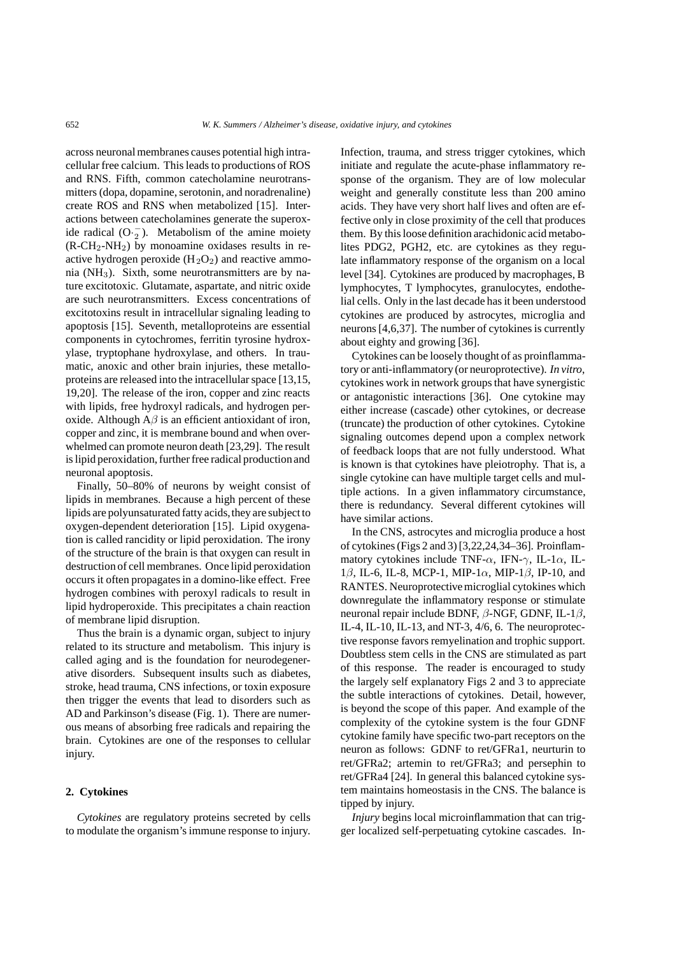across neuronal membranes causes potential high intracellular free calcium. This leads to productions of ROS and RNS. Fifth, common catecholamine neurotransmitters (dopa, dopamine, serotonin, and noradrenaline) create ROS and RNS when metabolized [15]. Interactions between catecholamines generate the superoxide radical  $(O·<sub>2</sub>)$ . Metabolism of the amine moiety  $(R-CH<sub>2</sub>-NH<sub>2</sub>)$  by monoamine oxidases results in reactive hydrogen peroxide  $(H_2O_2)$  and reactive ammonia ( $NH<sub>3</sub>$ ). Sixth, some neurotransmitters are by nature excitotoxic. Glutamate, aspartate, and nitric oxide are such neurotransmitters. Excess concentrations of excitotoxins result in intracellular signaling leading to apoptosis [15]. Seventh, metalloproteins are essential components in cytochromes, ferritin tyrosine hydroxylase, tryptophane hydroxylase, and others. In traumatic, anoxic and other brain injuries, these metalloproteins are released into the intracellular space [13,15, 19,20]. The release of the iron, copper and zinc reacts with lipids, free hydroxyl radicals, and hydrogen peroxide. Although  $A\beta$  is an efficient antioxidant of iron, copper and zinc, it is membrane bound and when overwhelmed can promote neuron death [23,29]. The result is lipid peroxidation, further free radical production and neuronal apoptosis.

Finally, 50–80% of neurons by weight consist of lipids in membranes. Because a high percent of these lipids are polyunsaturated fatty acids, they are subject to oxygen-dependent deterioration [15]. Lipid oxygenation is called rancidity or lipid peroxidation. The irony of the structure of the brain is that oxygen can result in destruction of cell membranes. Once lipid peroxidation occurs it often propagates in a domino-like effect. Free hydrogen combines with peroxyl radicals to result in lipid hydroperoxide. This precipitates a chain reaction of membrane lipid disruption.

Thus the brain is a dynamic organ, subject to injury related to its structure and metabolism. This injury is called aging and is the foundation for neurodegenerative disorders. Subsequent insults such as diabetes, stroke, head trauma, CNS infections, or toxin exposure then trigger the events that lead to disorders such as AD and Parkinson's disease (Fig. 1). There are numerous means of absorbing free radicals and repairing the brain. Cytokines are one of the responses to cellular injury.

#### **2. Cytokines**

*Cytokines* are regulatory proteins secreted by cells to modulate the organism's immune response to injury.

Infection, trauma, and stress trigger cytokines, which initiate and regulate the acute-phase inflammatory response of the organism. They are of low molecular weight and generally constitute less than 200 amino acids. They have very short half lives and often are effective only in close proximity of the cell that produces them. By this loose definition arachidonic acid metabolites PDG2, PGH2, etc. are cytokines as they regulate inflammatory response of the organism on a local level [34]. Cytokines are produced by macrophages, B lymphocytes, T lymphocytes, granulocytes, endothelial cells. Only in the last decade has it been understood cytokines are produced by astrocytes, microglia and neurons [4,6,37]. The number of cytokines is currently about eighty and growing [36].

Cytokines can be loosely thought of as proinflammatory or anti-inflammatory (or neuroprotective). *In vitro*, cytokines work in network groups that have synergistic or antagonistic interactions [36]. One cytokine may either increase (cascade) other cytokines, or decrease (truncate) the production of other cytokines. Cytokine signaling outcomes depend upon a complex network of feedback loops that are not fully understood. What is known is that cytokines have pleiotrophy. That is, a single cytokine can have multiple target cells and multiple actions. In a given inflammatory circumstance, there is redundancy. Several different cytokines will have similar actions.

In the CNS, astrocytes and microglia produce a host of cytokines (Figs 2 and 3) [3,22,24,34–36]. Proinflammatory cytokines include TNF- $\alpha$ , IFN- $\gamma$ , IL-1 $\alpha$ , IL-1 $\beta$ , IL-6, IL-8, MCP-1, MIP-1 $\alpha$ , MIP-1 $\beta$ , IP-10, and RANTES. Neuroprotective microglial cytokines which downregulate the inflammatory response or stimulate neuronal repair include BDNF, β-NGF, GDNF, IL-1β, IL-4, IL-10, IL-13, and NT-3, 4/6, 6. The neuroprotective response favors remyelination and trophic support. Doubtless stem cells in the CNS are stimulated as part of this response. The reader is encouraged to study the largely self explanatory Figs 2 and 3 to appreciate the subtle interactions of cytokines. Detail, however, is beyond the scope of this paper. And example of the complexity of the cytokine system is the four GDNF cytokine family have specific two-part receptors on the neuron as follows: GDNF to ret/GFRa1, neurturin to ret/GFRa2; artemin to ret/GFRa3; and persephin to ret/GFRa4 [24]. In general this balanced cytokine system maintains homeostasis in the CNS. The balance is tipped by injury.

*Injury* begins local microinflammation that can trigger localized self-perpetuating cytokine cascades. In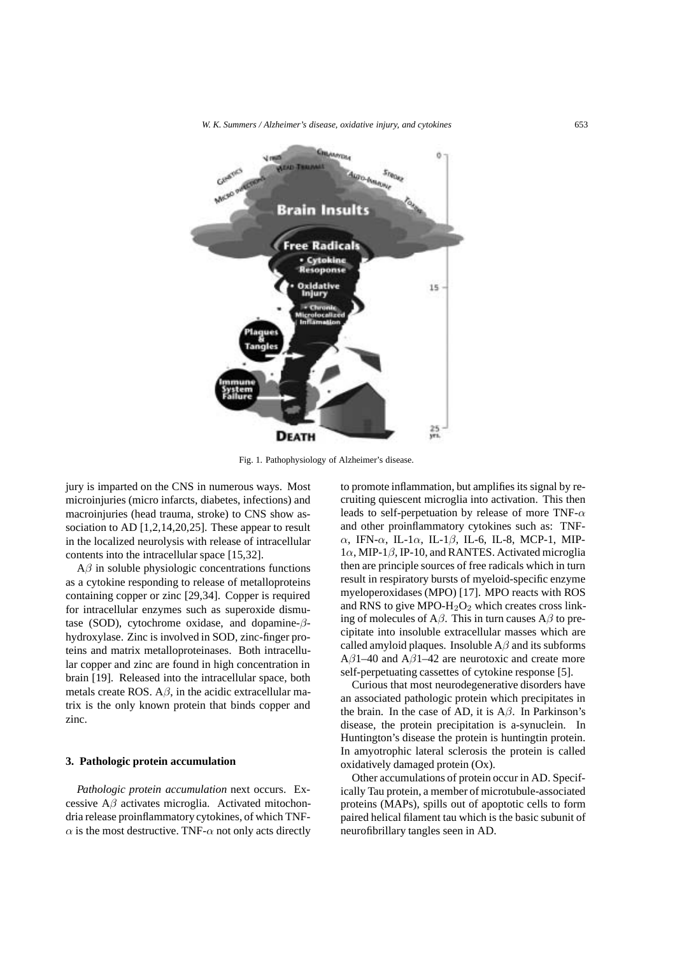*W. K. Summers / Alzheimer's disease, oxidative injury, and cytokines* 653



Fig. 1. Pathophysiology of Alzheimer's disease.

jury is imparted on the CNS in numerous ways. Most microinjuries (micro infarcts, diabetes, infections) and macroinjuries (head trauma, stroke) to CNS show association to AD [1,2,14,20,25]. These appear to result in the localized neurolysis with release of intracellular contents into the intracellular space [15,32].

 $A\beta$  in soluble physiologic concentrations functions as a cytokine responding to release of metalloproteins containing copper or zinc [29,34]. Copper is required for intracellular enzymes such as superoxide dismutase (SOD), cytochrome oxidase, and dopamine-βhydroxylase. Zinc is involved in SOD, zinc-finger proteins and matrix metalloproteinases. Both intracellular copper and zinc are found in high concentration in brain [19]. Released into the intracellular space, both metals create ROS.  $A\beta$ , in the acidic extracellular matrix is the only known protein that binds copper and zinc.

## **3. Pathologic protein accumulation**

*Pathologic protein accumulation* next occurs. Excessive  $A\beta$  activates microglia. Activated mitochondria release proinflammatory cytokines, of which TNF- $\alpha$  is the most destructive. TNF- $\alpha$  not only acts directly to promote inflammation, but amplifies its signal by recruiting quiescent microglia into activation. This then leads to self-perpetuation by release of more TNF- $\alpha$ and other proinflammatory cytokines such as: TNFα, IFN-α, IL-1α, IL-1β, IL-6, IL-8, MCP-1, MIP- $1\alpha$ , MIP-1 $\beta$ , IP-10, and RANTES. Activated microglia then are principle sources of free radicals which in turn result in respiratory bursts of myeloid-specific enzyme myeloperoxidases (MPO) [17]. MPO reacts with ROS and RNS to give MPO- $H<sub>2</sub>O<sub>2</sub>$  which creates cross linking of molecules of  $A\beta$ . This in turn causes  $A\beta$  to precipitate into insoluble extracellular masses which are called amyloid plaques. Insoluble  $A\beta$  and its subforms A $\beta$ 1–40 and A $\beta$ 1–42 are neurotoxic and create more self-perpetuating cassettes of cytokine response [5].

Curious that most neurodegenerative disorders have an associated pathologic protein which precipitates in the brain. In the case of AD, it is  $A\beta$ . In Parkinson's disease, the protein precipitation is a-synuclein. In Huntington's disease the protein is huntingtin protein. In amyotrophic lateral sclerosis the protein is called oxidatively damaged protein (Ox).

Other accumulations of protein occur in AD. Specifically Tau protein, a member of microtubule-associated proteins (MAPs), spills out of apoptotic cells to form paired helical filament tau which is the basic subunit of neurofibrillary tangles seen in AD.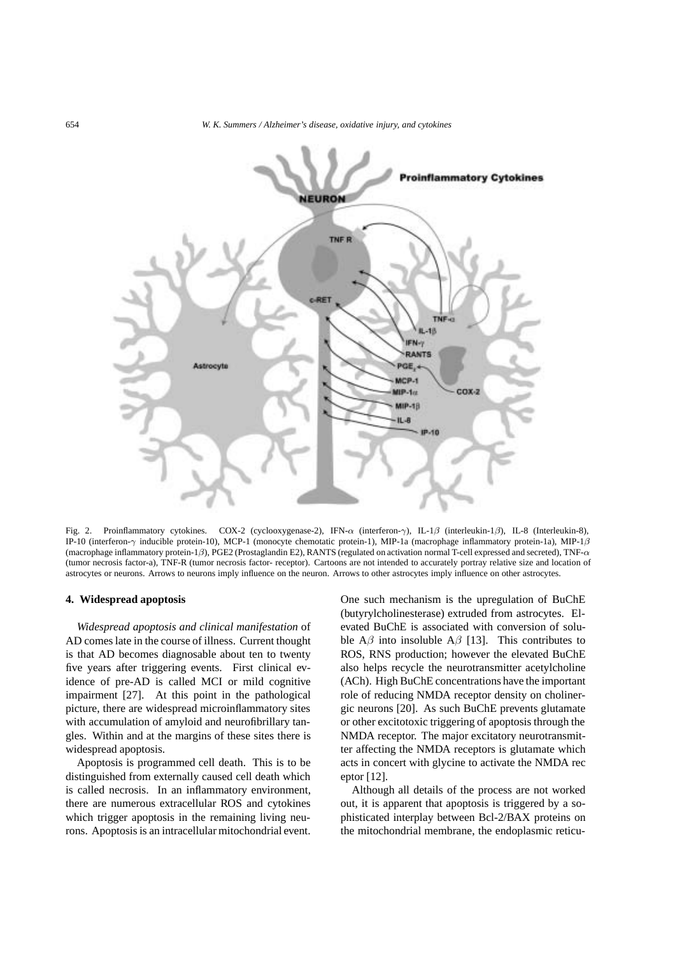

Fig. 2. Proinflammatory cytokines. COX-2 (cyclooxygenase-2), IFN-α (interferon-γ), IL-1β (interleukin-1β), IL-8 (Interleukin-8), IP-10 (interferon-γ inducible protein-10), MCP-1 (monocyte chemotatic protein-1), MIP-1a (macrophage inflammatory protein-1a), MIP-1β (macrophage inflammatory protein-1β), PGE2 (Prostaglandin E2), RANTS (regulated on activation normal T-cell expressed and secreted), TNF-α (tumor necrosis factor-a), TNF-R (tumor necrosis factor- receptor). Cartoons are not intended to accurately portray relative size and location of astrocytes or neurons. Arrows to neurons imply influence on the neuron. Arrows to other astrocytes imply influence on other astrocytes.

### **4. Widespread apoptosis**

*Widespread apoptosis and clinical manifestation* of AD comes late in the course of illness. Current thought is that AD becomes diagnosable about ten to twenty five years after triggering events. First clinical evidence of pre-AD is called MCI or mild cognitive impairment [27]. At this point in the pathological picture, there are widespread microinflammatory sites with accumulation of amyloid and neurofibrillary tangles. Within and at the margins of these sites there is widespread apoptosis.

Apoptosis is programmed cell death. This is to be distinguished from externally caused cell death which is called necrosis. In an inflammatory environment, there are numerous extracellular ROS and cytokines which trigger apoptosis in the remaining living neurons. Apoptosis is an intracellular mitochondrial event.

One such mechanism is the upregulation of BuChE (butyrylcholinesterase) extruded from astrocytes. Elevated BuChE is associated with conversion of soluble  $A\beta$  into insoluble  $A\beta$  [13]. This contributes to ROS, RNS production; however the elevated BuChE also helps recycle the neurotransmitter acetylcholine (ACh). High BuChE concentrations have the important role of reducing NMDA receptor density on cholinergic neurons [20]. As such BuChE prevents glutamate or other excitotoxic triggering of apoptosis through the NMDA receptor. The major excitatory neurotransmitter affecting the NMDA receptors is glutamate which acts in concert with glycine to activate the NMDA rec eptor [12].

Although all details of the process are not worked out, it is apparent that apoptosis is triggered by a sophisticated interplay between Bcl-2/BAX proteins on the mitochondrial membrane, the endoplasmic reticu-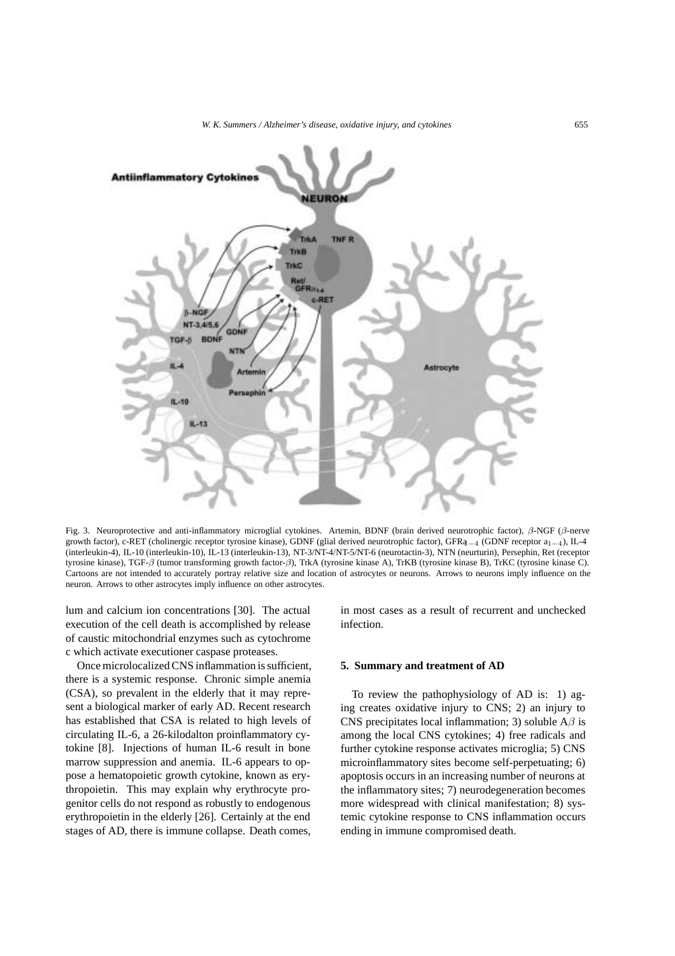

Fig. 3. Neuroprotective and anti-inflammatory microglial cytokines. Artemin, BDNF (brain derived neurotrophic factor), β-NGF (β-nerve growth factor), c-RET (cholinergic receptor tyrosine kinase), GDNF (glial derived neurotrophic factor), GFRa1*−*<sup>4</sup> (GDNF receptor a1*−*4), IL-4 (interleukin-4), IL-10 (interleukin-10), IL-13 (interleukin-13), NT-3/NT-4/NT-5/NT-6 (neurotactin-3), NTN (neurturin), Persephin, Ret (receptor tyrosine kinase), TGF-β (tumor transforming growth factor-β), TrkA (tyrosine kinase A), TrKB (tyrosine kinase B), TrKC (tyrosine kinase C). Cartoons are not intended to accurately portray relative size and location of astrocytes or neurons. Arrows to neurons imply influence on the neuron. Arrows to other astrocytes imply influence on other astrocytes.

lum and calcium ion concentrations [30]. The actual execution of the cell death is accomplished by release of caustic mitochondrial enzymes such as cytochrome c which activate executioner caspase proteases.

Once microlocalized CNS inflammation is sufficient, there is a systemic response. Chronic simple anemia (CSA), so prevalent in the elderly that it may represent a biological marker of early AD. Recent research has established that CSA is related to high levels of circulating IL-6, a 26-kilodalton proinflammatory cytokine [8]. Injections of human IL-6 result in bone marrow suppression and anemia. IL-6 appears to oppose a hematopoietic growth cytokine, known as erythropoietin. This may explain why erythrocyte progenitor cells do not respond as robustly to endogenous erythropoietin in the elderly [26]. Certainly at the end stages of AD, there is immune collapse. Death comes, in most cases as a result of recurrent and unchecked infection.

#### **5. Summary and treatment of AD**

To review the pathophysiology of AD is: 1) aging creates oxidative injury to CNS; 2) an injury to CNS precipitates local inflammation; 3) soluble  $A\beta$  is among the local CNS cytokines; 4) free radicals and further cytokine response activates microglia; 5) CNS microinflammatory sites become self-perpetuating; 6) apoptosis occurs in an increasing number of neurons at the inflammatory sites; 7) neurodegeneration becomes more widespread with clinical manifestation; 8) systemic cytokine response to CNS inflammation occurs ending in immune compromised death.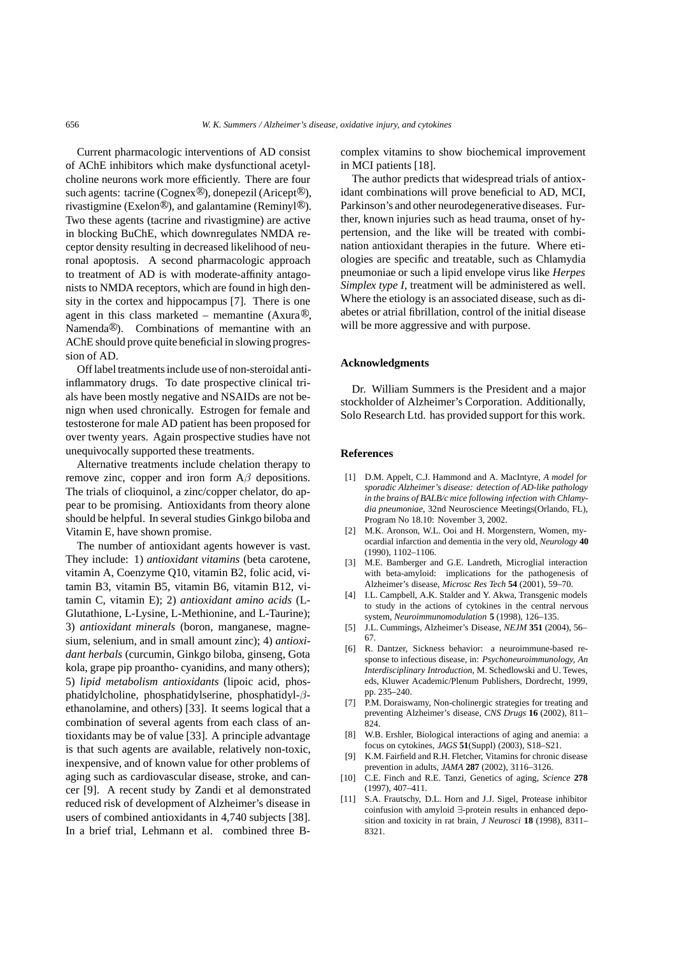Current pharmacologic interventions of AD consist of AChE inhibitors which make dysfunctional acetylcholine neurons work more efficiently. There are four such agents: tacrine (Cognex<sup>®</sup>), donepezil (Aricept<sup>®</sup>), rivastigmine (Exelon<sup>®</sup>), and galantamine (Reminyl<sup>®</sup>). Two these agents (tacrine and rivastigmine) are active in blocking BuChE, which downregulates NMDA receptor density resulting in decreased likelihood of neuronal apoptosis. A second pharmacologic approach to treatment of AD is with moderate-affinity antagonists to NMDA receptors, which are found in high density in the cortex and hippocampus [7]. There is one agent in this class marketed – memantine (Axura $\mathcal{R}$ ), Namenda<sup>®</sup>). Combinations of memantine with an AChE should prove quite beneficial in slowing progression of AD.

Off label treatments include use of non-steroidal antiinflammatory drugs. To date prospective clinical trials have been mostly negative and NSAIDs are not benign when used chronically. Estrogen for female and testosterone for male AD patient has been proposed for over twenty years. Again prospective studies have not unequivocally supported these treatments.

Alternative treatments include chelation therapy to remove zinc, copper and iron form  $A\beta$  depositions. The trials of clioquinol, a zinc/copper chelator, do appear to be promising. Antioxidants from theory alone should be helpful. In several studies Ginkgo biloba and Vitamin E, have shown promise.

The number of antioxidant agents however is vast. They include: 1) *antioxidant vitamins* (beta carotene, vitamin A, Coenzyme Q10, vitamin B2, folic acid, vitamin B3, vitamin B5, vitamin B6, vitamin B12, vitamin C, vitamin E); 2) *antioxidant amino acids* (L-Glutathione, L-Lysine, L-Methionine, and L-Taurine); 3) *antioxidant minerals* (boron, manganese, magnesium, selenium, and in small amount zinc); 4) *antioxidant herbals* (curcumin, Ginkgo biloba, ginseng, Gota kola, grape pip proantho- cyanidins, and many others); 5) *lipid metabolism antioxidants* (lipoic acid, phosphatidylcholine, phosphatidylserine, phosphatidyl-βethanolamine, and others) [33]. It seems logical that a combination of several agents from each class of antioxidants may be of value [33]. A principle advantage is that such agents are available, relatively non-toxic, inexpensive, and of known value for other problems of aging such as cardiovascular disease, stroke, and cancer [9]. A recent study by Zandi et al demonstrated reduced risk of development of Alzheimer's disease in users of combined antioxidants in 4,740 subjects [38]. In a brief trial, Lehmann et al. combined three B-

complex vitamins to show biochemical improvement in MCI patients [18].

The author predicts that widespread trials of antioxidant combinations will prove beneficial to AD, MCI, Parkinson's and other neurodegenerativediseases. Further, known injuries such as head trauma, onset of hypertension, and the like will be treated with combination antioxidant therapies in the future. Where etiologies are specific and treatable, such as Chlamydia pneumoniae or such a lipid envelope virus like *Herpes Simplex type I*, treatment will be administered as well. Where the etiology is an associated disease, such as diabetes or atrial fibrillation, control of the initial disease will be more aggressive and with purpose.

#### **Acknowledgments**

Dr. William Summers is the President and a major stockholder of Alzheimer's Corporation. Additionally, Solo Research Ltd. has provided support for this work.

#### **References**

- [1] D.M. Appelt, C.J. Hammond and A. MacIntyre, *A model for sporadic Alzheimer's disease: detection of AD-like pathology in the brains of BALB/c mice following infection with Chlamydia pneumoniae*, 32nd Neuroscience Meetings(Orlando, FL), Program No 18.10: November 3, 2002.
- [2] M.K. Aronson, W.L. Ooi and H. Morgenstern, Women, myocardial infarction and dementia in the very old, *Neurology* **40** (1990), 1102–1106.
- [3] M.E. Bamberger and G.E. Landreth, Microglial interaction with beta-amyloid: implications for the pathogenesis of Alzheimer's disease, *Microsc Res Tech* **54** (2001), 59–70.
- [4] I.L. Campbell, A.K. Stalder and Y. Akwa, Transgenic models to study in the actions of cytokines in the central nervous system, *Neuroimmunomodulation* **5** (1998), 126–135.
- [5] J.L. Cummings, Alzheimer's Disease, *NEJM* **351** (2004), 56– 67.
- [6] R. Dantzer, Sickness behavior: a neuroimmune-based response to infectious disease, in: *Psychoneuroimmunology, An Interdisciplinary Introduction*, M. Schedlowski and U. Tewes, eds, Kluwer Academic/Plenum Publishers, Dordrecht, 1999, pp. 235–240.
- [7] P.M. Doraiswamy, Non-cholinergic strategies for treating and preventing Alzheimer's disease, *CNS Drugs* **16** (2002), 811– 824.
- [8] W.B. Ershler, Biological interactions of aging and anemia: a focus on cytokines, *JAGS* **51**(Suppl) (2003), S18–S21.
- [9] K.M. Fairfield and R.H. Fletcher, Vitamins for chronic disease prevention in adults, *JAMA* **287** (2002), 3116–3126.
- [10] C.E. Finch and R.E. Tanzi, Genetics of aging, *Science* **278** (1997), 407–411.
- [11] S.A. Frautschy, D.L. Horn and J.J. Sigel, Protease inhibitor coinfusion with amyloid ∃-protein results in enhanced deposition and toxicity in rat brain, *J Neurosci* **18** (1998), 8311– 8321.